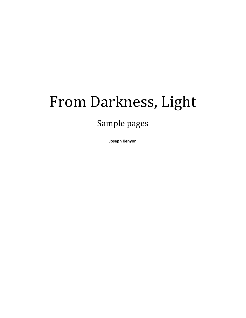## From Darkness, Light

## Sample pages

**Joseph Kenyon**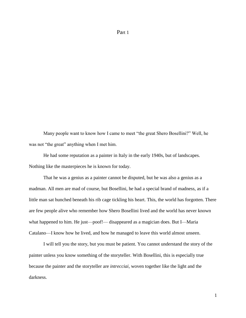## Part 1

Many people want to know how I came to meet "the great Shero Bosellini?" Well, he was not "the great" anything when I met him.

He had some reputation as a painter in Italy in the early 1940s, but of landscapes. Nothing like the masterpieces he is known for today.

That he was a genius as a painter cannot be disputed, but he was also a genius as a madman. All men are mad of course, but Bosellini, he had a special brand of madness, as if a little man sat hunched beneath his rib cage tickling his heart. This, the world has forgotten. There are few people alive who remember how Shero Bosellini lived and the world has never known what happened to him. He just—poof!— disappeared as a magician does. But I—Maria Catalano—I know how he lived, and how he managed to leave this world almost unseen.

I will tell you the story, but you must be patient. You cannot understand the story of the painter unless you know something of the storyteller. With Bosellini, this is especially true because the painter and the storyteller are *intrecciai*, woven together like the light and the darkness.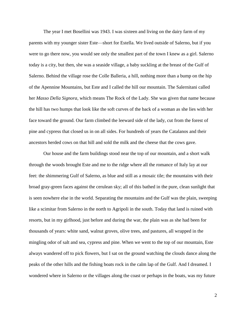The year I met Bosellini was 1943. I was sixteen and living on the dairy farm of my parents with my younger sister Este—short for Estella. We lived outside of Salerno, but if you were to go there now, you would see only the smallest part of the town I knew as a girl. Salerno today is a city, but then, she was a seaside village, a baby suckling at the breast of the Gulf of Salerno. Behind the village rose the Colle Balleria, a hill, nothing more than a bump on the hip of the Apennine Mountains, but Este and I called the hill our mountain. The Salernitani called her *Masso Della Signora*, which means The Rock of the Lady. She was given that name because the hill has two humps that look like the soft curves of the back of a woman as she lies with her face toward the ground. Our farm climbed the leeward side of the lady, cut from the forest of pine and cypress that closed us in on all sides. For hundreds of years the Catalanos and their ancestors herded cows on that hill and sold the milk and the cheese that the cows gave.

Our house and the farm buildings stood near the top of our mountain, and a short walk through the woods brought Este and me to the ridge where all the romance of Italy lay at our feet: the shimmering Gulf of Salerno, as blue and still as a mosaic tile; the mountains with their broad gray-green faces against the cerulean sky; all of this bathed in the pure, clean sunlight that is seen nowhere else in the world. Separating the mountains and the Gulf was the plain, sweeping like a scimitar from Salerno in the north to Agripoli in the south. Today that land is ruined with resorts, but in my girlhood, just before and during the war, the plain was as she had been for thousands of years: white sand, walnut groves, olive trees, and pastures, all wrapped in the mingling odor of salt and sea, cypress and pine. When we went to the top of our mountain, Este always wandered off to pick flowers, but I sat on the ground watching the clouds dance along the peaks of the other hills and the fishing boats rock in the calm lap of the Gulf. And I dreamed. I wondered where in Salerno or the villages along the coast or perhaps in the boats, was my future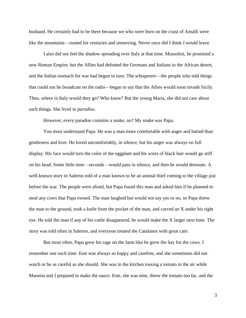husband. He certainly had to be there because we who were born on the coast of Amalfi were like the mountains—rooted for centuries and unmoving. Never once did I think I would leave.

I also did not feel the shadow spreading over Italy at that time. Mussolini, he promised a new Roman Empire, but the Allies had defeated the Germans and Italians in the African desert, and the Italian stomach for war had begun to turn. The whisperers—the people who told things that could not be broadcast on the radio—began to say that the Allies would soon invade Sicily. Then, where in Italy would they go? Who knew? But the young Maria, she did not care about such things. She lived in *paradiso*.

However, every paradise contains a snake, no? My snake was Papa.

You must understand Papa. He was a man more comfortable with anger and hatred than gentleness and love. He loved uncomfortably, in silence, but his anger was always on full display. His face would turn the color of the eggplant and his wires of black hair would go stiff on his head. Some little time—seconds—would pass in silence, and then he would detonate. A well-known story in Salerno told of a man known to be an animal thief coming to the village just before the war. The people were afraid, but Papa found this man and asked him if he planned to steal any cows that Papa owned. The man laughed but would not say yes or no, so Papa threw the man to the ground, took a knife from the pocket of the man, and carved an X under his right eye. He told the man if any of his cattle disappeared, he would make the X larger next time. The story was told often in Salerno, and everyone treated the Catalanos with great care.

But most often, Papa grew his rage on the farm like he grew the hay for the cows. I remember one such time. Este was always so happy and carefree, and she sometimes did not watch or be as careful as she should. She was in the kitchen tossing a tomato in the air while Mamma and I prepared to make the sauce. Este, she was nine, threw the tomato too far, and the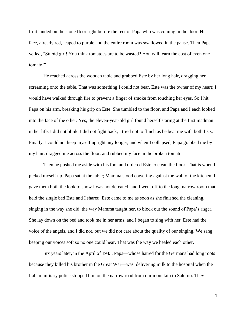fruit landed on the stone floor right before the feet of Papa who was coming in the door. His face, already red, leaped to purple and the entire room was swallowed in the pause. Then Papa yelled, "Stupid girl! You think tomatoes are to be wasted? You will learn the cost of even one tomato!"

He reached across the wooden table and grabbed Este by her long hair, dragging her screaming onto the table. That was something I could not bear. Este was the owner of my heart; I would have walked through fire to prevent a finger of smoke from touching her eyes. So I hit Papa on his arm, breaking his grip on Este. She tumbled to the floor, and Papa and I each looked into the face of the other. Yes, the eleven-year-old girl found herself staring at the first madman in her life. I did not blink, I did not fight back, I tried not to flinch as he beat me with both fists. Finally, I could not keep myself upright any longer, and when I collapsed, Papa grabbed me by my hair, dragged me across the floor, and rubbed my face in the broken tomato.

Then he pushed me aside with his foot and ordered Este to clean the floor. That is when I picked myself up. Papa sat at the table; Mamma stood cowering against the wall of the kitchen. I gave them both the look to show I was not defeated, and I went off to the long, narrow room that held the single bed Este and I shared. Este came to me as soon as she finished the cleaning, singing in the way she did, the way Mamma taught her, to block out the sound of Papa's anger. She lay down on the bed and took me in her arms, and I began to sing with her. Este had the voice of the angels, and I did not, but we did not care about the quality of our singing. We sang, keeping our voices soft so no one could hear. That was the way we healed each other.

Six years later, in the April of 1943, Papa—whose hatred for the Germans had long roots because they killed his brother in the Great War—was delivering milk to the hospital when the Italian military police stopped him on the narrow road from our mountain to Salerno. They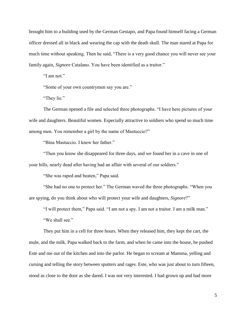brought him to a building used by the German Gestapo, and Papa found himself facing a German officer dressed all in black and wearing the cap with the death skull. The man stared at Papa for much time without speaking. Then he said, "There is a very good chance you will never see your family again, *Signore* Catalano. You have been identified as a traitor."

"I am not."

"Some of your own countrymen say you are."

"They lie."

The German opened a file and selected three photographs. "I have here pictures of your wife and daughters. Beautiful women. Especially attractive to soldiers who spend so much time among men. You remember a girl by the name of Mastuccio?"

"Bina Mastuccio. I knew her father."

"Then you know she disappeared for three days, and we found her in a cave in one of your hills, nearly dead after having had an affair with several of our soldiers."

"She was raped and beaten," Papa said.

"She had no one to protect her." The German waved the three photographs. "When you are spying, do you think about who will protect your wife and daughters, *Signore*?"

"I will protect them," Papa said. "I am not a spy. I am not a traitor. I am a milk man."

"We shall see."

They put him in a cell for three hours. When they released him, they kept the cart, the mule, and the milk. Papa walked back to the farm, and when he came into the house, he pushed Este and me out of the kitchen and into the parlor. He began to scream at Mamma, yelling and cursing and telling the story between sputters and rages. Este, who was just about to turn fifteen, stood as close to the door as she dared. I was not very interested. I had grown up and had more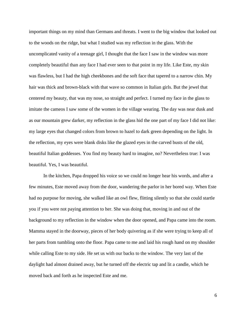important things on my mind than Germans and threats. I went to the big window that looked out to the woods on the ridge, but what I studied was my reflection in the glass. With the uncomplicated vanity of a teenage girl, I thought that the face I saw in the window was more completely beautiful than any face I had ever seen to that point in my life. Like Este, my skin was flawless, but I had the high cheekbones and the soft face that tapered to a narrow chin. My hair was thick and brown-black with that wave so common in Italian girls. But the jewel that centered my beauty, that was my nose, so straight and perfect. I turned my face in the glass to imitate the cameos I saw some of the women in the village wearing. The day was near dusk and as our mountain grew darker, my reflection in the glass hid the one part of my face I did not like: my large eyes that changed colors from brown to hazel to dark green depending on the light. In the reflection, my eyes were blank disks like the glazed eyes in the carved busts of the old, beautiful Italian goddesses. You find my beauty hard to imagine, no? Nevertheless true: I was beautiful. Yes, I was beautiful.

In the kitchen, Papa dropped his voice so we could no longer hear his words, and after a few minutes, Este moved away from the door, wandering the parlor in her bored way. When Este had no purpose for moving, she walked like an owl flew, flitting silently so that she could startle you if you were not paying attention to her. She was doing that, moving in and out of the background to my reflection in the window when the door opened, and Papa came into the room. Mamma stayed in the doorway, pieces of her body quivering as if she were trying to keep all of her parts from tumbling onto the floor. Papa came to me and laid his rough hand on my shoulder while calling Este to my side. He set us with our backs to the window. The very last of the daylight had almost drained away, but he turned off the electric tap and lit a candle, which he moved back and forth as he inspected Este and me.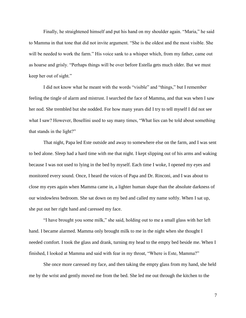Finally, he straightened himself and put his hand on my shoulder again. "Maria," he said to Mamma in that tone that did not invite argument. "She is the oldest and the most visible. She will be needed to work the farm." His voice sank to a whisper which, from my father, came out as hoarse and grisly. "Perhaps things will be over before Estella gets much older. But we must keep her out of sight."

I did not know what he meant with the words "visible" and "things," but I remember feeling the tingle of alarm and mistrust. I searched the face of Mamma, and that was when I saw her nod. She trembled but she nodded. For how many years did I try to tell myself I did not see what I saw? However, Bosellini used to say many times, "What lies can be told about something that stands in the light?"

That night, Papa led Este outside and away to somewhere else on the farm, and I was sent to bed alone. Sleep had a hard time with me that night. I kept slipping out of his arms and waking because I was not used to lying in the bed by myself. Each time I woke, I opened my eyes and monitored every sound. Once, I heard the voices of Papa and Dr. Rinconi, and I was about to close my eyes again when Mamma came in, a lighter human shape than the absolute darkness of our windowless bedroom. She sat down on my bed and called my name softly. When I sat up, she put out her right hand and caressed my face.

"I have brought you some milk," she said, holding out to me a small glass with her left hand. I became alarmed. Mamma only brought milk to me in the night when she thought I needed comfort. I took the glass and drank, turning my head to the empty bed beside me. When I finished, I looked at Mamma and said with fear in my throat, "Where is Este, Mamma?"

She once more caressed my face, and then taking the empty glass from my hand, she held me by the wrist and gently moved me from the bed. She led me out through the kitchen to the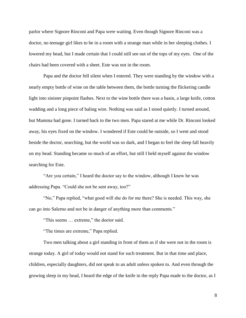parlor where Signore Rinconi and Papa were waiting. Even though Signore Rinconi was a doctor, no teenage girl likes to be in a room with a strange man while in her sleeping clothes. I lowered my head, but I made certain that I could still see out of the tops of my eyes. One of the chairs had been covered with a sheet. Este was not in the room.

Papa and the doctor fell silent when I entered. They were standing by the window with a nearly empty bottle of wine on the table between them, the bottle turning the flickering candle light into sinister pinpoint flashes. Next to the wine bottle there was a basin, a large knife, cotton wadding and a long piece of baling wire. Nothing was said as I stood quietly. I turned around, but Mamma had gone. I turned back to the two men. Papa stared at me while Dr. Rinconi looked away, his eyes fixed on the window. I wondered if Este could be outside, so I went and stood beside the doctor, searching, but the world was so dark, and I began to feel the sleep fall heavily on my head. Standing became so much of an effort, but still I held myself against the window searching for Este.

"Are you certain," I heard the doctor say to the window, although I knew he was addressing Papa. "Could she not be sent away, too?"

"No," Papa replied, "what good will she do for me there? She is needed. This way, she can go into Salerno and not be in danger of anything more than comments."

"This seems … extreme," the doctor said.

"The times are extreme," Papa replied.

Two men talking about a girl standing in front of them as if she were not in the room is strange today. A girl of today would not stand for such treatment. But in that time and place, children, especially daughters, did not speak to an adult unless spoken to. And even through the growing sleep in my head, I heard the edge of the knife in the reply Papa made to the doctor, as I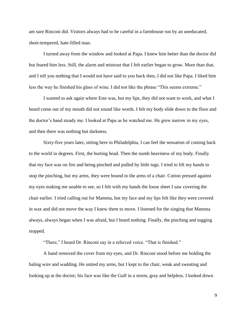am sure Rinconi did. Visitors always had to be careful in a farmhouse run by an uneducated, short-tempered, hate-filled man.

I turned away from the window and looked at Papa. I knew him better than the doctor did but feared him less. Still, the alarm and mistrust that I felt earlier began to grow. More than that, and I tell you nothing that I would not have said to you back then, I did not like Papa. I liked him less the way he finished his glass of wine. I did not like the phrase "This seems extreme."

I wanted to ask again where Este was, but my lips, they did not want to work, and what I heard come out of my mouth did not sound like words. I felt my body slide down to the floor and the doctor's hand steady me. I looked at Papa as he watched me. He grew narrow in my eyes, and then there was nothing but darkness.

Sixty-five years later, sitting here in Philadelphia, I can feel the sensation of coming back to the world in degrees. First, the hurting head. Then the numb heaviness of my body. Finally that my face was on fire and being pinched and pulled by little tugs. I tried to lift my hands to stop the pinching, but my arms, they were bound to the arms of a chair. Cotton pressed against my eyes making me unable to see, so I felt with my hands the loose sheet I saw covering the chair earlier. I tried calling out for Mamma, but my face and my lips felt like they were covered in wax and did not move the way I knew them to move. I listened for the singing that Mamma always, always began when I was afraid, but I heard nothing. Finally, the pinching and tugging stopped.

"There," I heard Dr. Rinconi say in a relieved voice. "That is finished."

A hand removed the cover from my eyes, and Dr. Rinconi stood before me holding the baling wire and wadding. He untied my arms, but I kept to the chair, weak and sweating and looking up at the doctor; his face was like the Gulf in a storm, gray and helpless. I looked down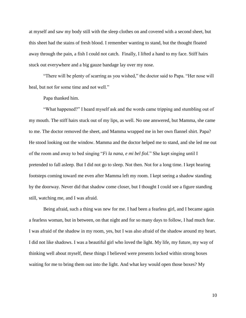at myself and saw my body still with the sleep clothes on and covered with a second sheet, but this sheet had the stains of fresh blood. I remember wanting to stand, but the thought floated away through the pain, a fish I could not catch. Finally, I lifted a hand to my face. Stiff hairs stuck out everywhere and a big gauze bandage lay over my nose.

"There will be plenty of scarring as you wished," the doctor said to Papa. "Her nose will heal, but not for some time and not well."

Papa thanked him.

"What happened?" I heard myself ask and the words came tripping and stumbling out of my mouth. The stiff hairs stuck out of my lips, as well. No one answered, but Mamma, she came to me. The doctor removed the sheet, and Mamma wrapped me in her own flannel shirt. Papa? He stood looking out the window. Mamma and the doctor helped me to stand, and she led me out of the room and away to bed singing "*Fi la nana, e mi bel fiol.*" She kept singing until I pretended to fall asleep. But I did not go to sleep. Not then. Not for a long time. I kept hearing footsteps coming toward me even after Mamma left my room. I kept seeing a shadow standing by the doorway. Never did that shadow come closer, but I thought I could see a figure standing still, watching me, and I was afraid.

Being afraid, such a thing was new for me. I had been a fearless girl, and I became again a fearless woman, but in between, on that night and for so many days to follow, I had much fear. I was afraid of the shadow in my room, yes, but I was also afraid of the shadow around my heart. I did not like shadows. I was a beautiful girl who loved the light. My life, my future, my way of thinking well about myself, these things I believed were presents locked within strong boxes waiting for me to bring them out into the light. And what key would open those boxes? My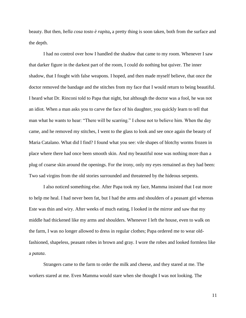beauty. But then, *bella cosa tosto è rapita***,** a pretty thing is soon taken, both from the surface and the depth.

I had no control over how I handled the shadow that came to my room. Whenever I saw that darker figure in the darkest part of the room, I could do nothing but quiver. The inner shadow, that I fought with false weapons. I hoped, and then made myself believe, that once the doctor removed the bandage and the stitches from my face that I would return to being beautiful. I heard what Dr. Rinconi told to Papa that night, but although the doctor was a fool, he was not an idiot. When a man asks you to carve the face of his daughter, you quickly learn to tell that man what he wants to hear: "There will be scarring." I chose not to believe him. When the day came, and he removed my stitches, I went to the glass to look and see once again the beauty of Maria Catalano. What did I find? I found what you see: vile shapes of blotchy worms frozen in place where there had once been smooth skin. And my beautiful nose was nothing more than a plug of coarse skin around the openings. For the irony, only my eyes remained as they had been: Two sad virgins from the old stories surrounded and threatened by the hideous serpents.

I also noticed something else. After Papa took my face, Mamma insisted that I eat more to help me heal. I had never been fat, but I had the arms and shoulders of a peasant girl whereas Este was thin and wiry. After weeks of much eating, I looked in the mirror and saw that my middle had thickened like my arms and shoulders. Whenever I left the house, even to walk on the farm, I was no longer allowed to dress in regular clothes; Papa ordered me to wear oldfashioned, shapeless, peasant robes in brown and gray. I wore the robes and looked formless like a *patata*.

Strangers came to the farm to order the milk and cheese, and they stared at me. The workers stared at me. Even Mamma would stare when she thought I was not looking. The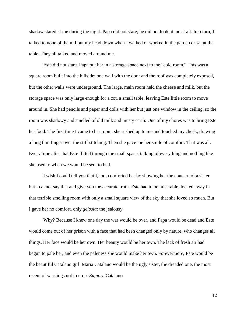shadow stared at me during the night. Papa did not stare; he did not look at me at all. In return, I talked to none of them. I put my head down when I walked or worked in the garden or sat at the table. They all talked and moved around me.

Este did not stare. Papa put her in a storage space next to the "cold room." This was a square room built into the hillside; one wall with the door and the roof was completely exposed, but the other walls were underground. The large, main room held the cheese and milk, but the storage space was only large enough for a cot, a small table, leaving Este little room to move around in. She had pencils and paper and dolls with her but just one window in the ceiling, so the room was shadowy and smelled of old milk and musty earth. One of my chores was to bring Este her food. The first time I came to her room, she rushed up to me and touched my cheek, drawing a long thin finger over the stiff stitching. Then she gave me her smile of comfort. That was all. Every time after that Este flitted through the small space, talking of everything and nothing like she used to when we would be sent to bed.

I wish I could tell you that I, too, comforted her by showing her the concern of a sister, but I cannot say that and give you the accurate truth. Este had to be miserable, locked away in that terrible smelling room with only a small square view of the sky that she loved so much. But I gave her no comfort, only *gelosia*: the jealousy.

Why? Because I knew one day the war would be over, and Papa would be dead and Este would come out of her prison with a face that had been changed only by nature, who changes all things. Her face would be her own. Her beauty would be her own. The lack of fresh air had begun to pale her, and even the paleness she would make her own. Forevermore, Este would be the beautiful Catalano girl. Maria Catalano would be the ugly sister, the dreaded one, the most recent of warnings not to cross *Signore* Catalano.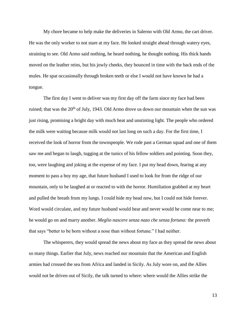My chore became to help make the deliveries in Salerno with Old Armo, the cart driver. He was the only worker to not stare at my face. He looked straight ahead through watery eyes, straining to see. Old Armo said nothing, he heard nothing, he thought nothing. His thick hands moved on the leather reins, but his jowly cheeks, they bounced in time with the back ends of the mules. He spat occasionally through broken teeth or else I would not have known he had a tongue.

The first day I went to deliver was my first day off the farm since my face had been ruined; that was the  $20<sup>th</sup>$  of July, 1943. Old Armo drove us down our mountain when the sun was just rising, promising a bright day with much heat and unstinting light. The people who ordered the milk were waiting because milk would not last long on such a day. For the first time, I received the look of horror from the townspeople. We rode past a German squad and one of them saw me and began to laugh, tugging at the tunics of his fellow soldiers and pointing. Soon they, too, were laughing and joking at the expense of my face. I put my head down, fearing at any moment to pass a boy my age, that future husband I used to look for from the ridge of our mountain, only to be laughed at or reacted to with the horror. Humiliation grabbed at my heart and pulled the breath from my lungs. I could hide my head now, but I could not hide forever. Word would circulate, and my future husband would hear and never would he come near to me; he would go on and marry another. *Meglio nascere senza nazo che senza fortuna:* the proverb that says "better to be born without a nose than without fortune." I had neither.

The whisperers, they would spread the news about my face as they spread the news about so many things. Earlier that July, news reached our mountain that the American and English armies had crossed the sea from Africa and landed in Sicily. As July wore on, and the Allies would not be driven out of Sicily, the talk turned to where: where would the Allies strike the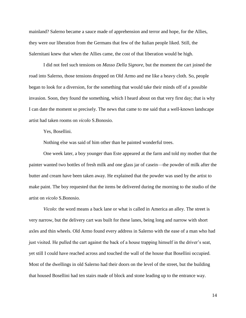mainland? Salerno became a sauce made of apprehension and terror and hope, for the Allies, they were our liberation from the Germans that few of the Italian people liked. Still, the Salernitani knew that when the Allies came, the cost of that liberation would be high.

I did not feel such tensions on *Masso Della Signore*, but the moment the cart joined the road into Salerno, those tensions dropped on Old Armo and me like a heavy cloth. So, people began to look for a diversion, for the something that would take their minds off of a possible invasion. Soon, they found the something, which I heard about on that very first day; that is why I can date the moment so precisely. The news that came to me said that a well-known landscape artist had taken rooms on *vicolo* S.Bonosio.

Yes, Bosellini.

Nothing else was said of him other than he painted wonderful trees.

One week later, a boy younger than Este appeared at the farm and told my mother that the painter wanted two bottles of fresh milk and one glass jar of casein—the powder of milk after the butter and cream have been taken away. He explained that the powder was used by the artist to make paint. The boy requested that the items be delivered during the morning to the studio of the artist on *vicolo* S.Bonosio.

*Vicolo*: the word means a back lane or what is called in America an alley. The street is very narrow, but the delivery cart was built for these lanes, being long and narrow with short axles and thin wheels. Old Armo found every address in Salerno with the ease of a man who had just visited. He pulled the cart against the back of a house trapping himself in the driver's seat, yet still I could have reached across and touched the wall of the house that Bosellini occupied. Most of the dwellings in old Salerno had their doors on the level of the street, but the building that housed Bosellini had ten stairs made of block and stone leading up to the entrance way.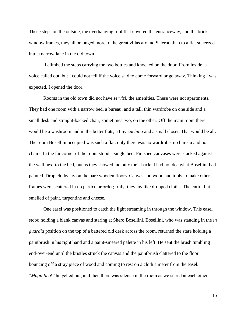Those steps on the outside, the overhanging roof that covered the entranceway, and the brick window frames, they all belonged more to the great villas around Salerno than to a flat squeezed into a narrow lane in the old town.

I climbed the steps carrying the two bottles and knocked on the door. From inside, a voice called out, but I could not tell if the voice said to come forward or go away. Thinking I was expected, I opened the door.

Rooms in the old town did not have *servizi,* the amenities. These were not apartments. They had one room with a narrow bed, a bureau, and a tall, thin wardrobe on one side and a small desk and straight-backed chair, sometimes two, on the other. Off the main room there would be a washroom and in the better flats, a tiny *cuchina* and a small closet. That would be all. The room Bosellini occupied was such a flat, only there was no wardrobe, no bureau and no chairs. In the far corner of the room stood a single bed. Finished canvases were stacked against the wall next to the bed, but as they showed me only their backs I had no idea what Bosellini had painted. Drop cloths lay on the bare wooden floors. Canvas and wood and tools to make other frames were scattered in no particular order; truly, they lay like dropped cloths. The entire flat smelled of paint, turpentine and cheese.

One easel was positioned to catch the light streaming in through the window. This easel stood holding a blank canvas and staring at Shero Bosellini. Bosellini, who was standing in the *in guardia* position on the top of a battered old desk across the room, returned the stare holding a paintbrush in his right hand and a paint-smeared palette in his left. He sent the brush tumbling end-over-end until the bristles struck the canvas and the paintbrush clattered to the floor bouncing off a stray piece of wood and coming to rest on a cloth a meter from the easel. "*Magnifico*!" he yelled out, and then there was silence in the room as we stared at each other: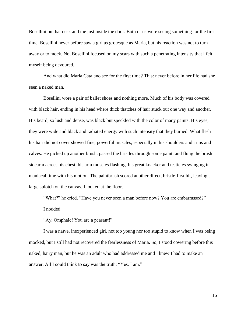Bosellini on that desk and me just inside the door. Both of us were seeing something for the first time. Bosellini never before saw a girl as grotesque as Maria, but his reaction was not to turn away or to mock. No, Bosellini focused on my scars with such a penetrating intensity that I felt myself being devoured.

And what did Maria Catalano see for the first time? This: never before in her life had she seen a naked man.

Bosellini wore a pair of ballet shoes and nothing more. Much of his body was covered with black hair, ending in his head where thick thatches of hair stuck out one way and another. His beard, so lush and dense, was black but speckled with the color of many paints. His eyes, they were wide and black and radiated energy with such intensity that they burned. What flesh his hair did not cover showed fine, powerful muscles, especially in his shoulders and arms and calves. He picked up another brush, passed the bristles through some paint, and flung the brush sidearm across his chest, his arm muscles flashing, his great knacker and testicles swinging in maniacal time with his motion. The paintbrush scored another direct, bristle-first hit, leaving a large splotch on the canvas. I looked at the floor.

"What?" he cried. "Have you never seen a man before now? You are embarrassed?"

I nodded.

"Ay, Omphale! You are a peasant!"

I was a naïve, inexperienced girl, not too young nor too stupid to know when I was being mocked, but I still had not recovered the fearlessness of Maria. So, I stood cowering before this naked, hairy man, but he was an adult who had addressed me and I knew I had to make an answer. All I could think to say was the truth: "Yes. I am."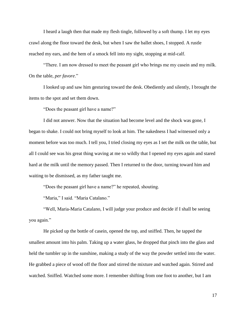I heard a laugh then that made my flesh tingle, followed by a soft thump. I let my eyes crawl along the floor toward the desk, but when I saw the ballet shoes, I stopped. A rustle reached my ears, and the hem of a smock fell into my sight, stopping at mid-calf.

"There. I am now dressed to meet the peasant girl who brings me my casein and my milk. On the table, *per favore*."

I looked up and saw him gesturing toward the desk. Obediently and silently, I brought the items to the spot and set them down.

"Does the peasant girl have a name?"

I did not answer. Now that the situation had become level and the shock was gone, I began to shake. I could not bring myself to look at him. The nakedness I had witnessed only a moment before was too much. I tell you, I tried closing my eyes as I set the milk on the table, but all I could see was his great thing waving at me so wildly that I opened my eyes again and stared hard at the milk until the memory passed. Then I returned to the door, turning toward him and waiting to be dismissed, as my father taught me.

"Does the peasant girl have a name?" he repeated, shouting.

"Maria," I said. "Maria Catalano."

"Well, Maria-Maria Catalano, I will judge your produce and decide if I shall be seeing you again."

He picked up the bottle of casein, opened the top, and sniffed. Then, he tapped the smallest amount into his palm. Taking up a water glass, he dropped that pinch into the glass and held the tumbler up in the sunshine, making a study of the way the powder settled into the water. He grabbed a piece of wood off the floor and stirred the mixture and watched again. Stirred and watched. Sniffed. Watched some more. I remember shifting from one foot to another, but I am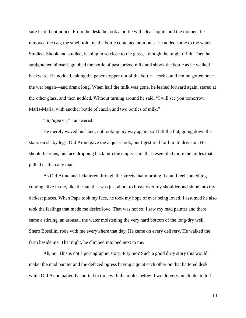sure he did not notice. From the desk, he took a bottle with clear liquid, and the moment he removed the cap, the smell told me the bottle contained ammonia. He added some to the water. Studied. Shook and studied, leaning in so close to the glass, I thought he might drink. Then he straightened himself, grabbed the bottle of pasteurized milk and shook the bottle as he walked backward. He nodded, taking the paper stopper out of the bottle—cork could not be gotten once the war began—and drank long. When half the milk was gone, he leaned forward again, stared at the other glass, and then nodded. Without turning around he said, "I will see you tomorrow, Maria-Maria, with another bottle of casein and two bottles of milk."

"*Si, Signore*," I answered.

He merely waved his hand, not looking my way again, so I left the flat, going down the stairs on shaky legs. Old Armo gave me a queer look, but I gestured for him to drive on. He shook the reins, his face dropping back into the empty stare that resembled more the mules that pulled us than any man.

As Old Armo and I clattered through the streets that morning, I could feel something coming alive in me, like the sun that was just about to break over my shoulder and shine into my darkest places. When Papa took my face, he took my hope of ever being loved. I assumed he also took the feelings that made me desire love. That was not so. I saw my mad painter and there came a stirring, an arousal, the water moistening the very hard bottom of the long-dry well. Shero Bosellini rode with me everywhere that day. He came on every delivery. He walked the farm beside me. That night, he climbed into bed next to me.

Ah, no. This is not a pornographic story. Pity, no? Such a good dirty story this would make: the mad painter and the defaced ogress having a go at each other on that battered desk while Old Armo patiently snorted in time with the mules below. I would very much like to tell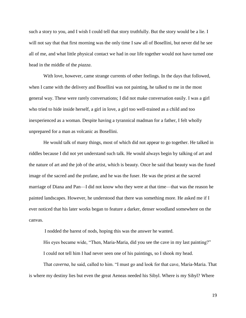such a story to you, and I wish I could tell that story truthfully. But the story would be a lie. I will not say that that first morning was the only time I saw all of Bosellini, but never did he see all of me, and what little physical contact we had in our life together would not have turned one head in the middle of the *piazza*.

With love, however, came strange currents of other feelings. In the days that followed, when I came with the delivery and Bosellini was not painting, he talked to me in the most general way. These were rarely conversations; I did not make conversation easily. I was a girl who tried to hide inside herself, a girl in love, a girl too well-trained as a child and too inexperienced as a woman. Despite having a tyrannical madman for a father, I felt wholly unprepared for a man as volcanic as Bosellini.

He would talk of many things, most of which did not appear to go together. He talked in riddles because I did not yet understand such talk. He would always begin by talking of art and the nature of art and the job of the artist, which is beauty. Once he said that beauty was the fused image of the sacred and the profane, and he was the fuser. He was the priest at the sacred marriage of Diana and Pan—I did not know who they were at that time—that was the reason he painted landscapes. However, he understood that there was something more. He asked me if I ever noticed that his later works began to feature a darker, denser woodland somewhere on the canvas.

I nodded the barest of nods, hoping this was the answer he wanted.

His eyes became wide, "Then, Maria-Maria, did you see the cave in my last painting?" I could not tell him I had never seen one of his paintings, so I shook my head.

That *caverna*, he said, called to him. "I must go and look for that cave, Maria-Maria. That is where my destiny lies but even the great Aeneas needed his Sibyl. Where is my Sibyl? Where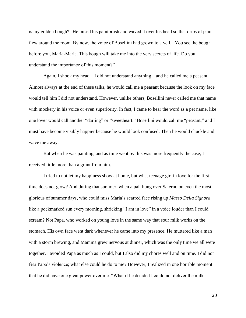is my golden bough?" He raised his paintbrush and waved it over his head so that drips of paint flew around the room. By now, the voice of Bosellini had grown to a yell. "You see the bough before you, Maria-Maria. This bough will take me into the very secrets of life. Do you understand the importance of this moment?"

Again, I shook my head—I did not understand anything—and he called me a peasant. Almost always at the end of these talks, he would call me a peasant because the look on my face would tell him I did not understand. However, unlike others, Bosellini never called me that name with mockery in his voice or even superiority. In fact, I came to hear the word as a pet name, like one lover would call another "darling" or "sweetheart." Bosellini would call me "peasant," and I must have become visibly happier because he would look confused. Then he would chuckle and wave me away.

But when he was painting, and as time went by this was more frequently the case, I received little more than a grunt from him.

I tried to not let my happiness show at home, but what teenage girl in love for the first time does not glow? And during that summer, when a pall hung over Salerno on even the most glorious of summer days, who could miss Maria's scarred face rising up *Masso Della Signora* like a pockmarked sun every morning, shrieking "I am in love" in a voice louder than I could scream? Not Papa, who worked on young love in the same way that sour milk works on the stomach. His own face went dark whenever he came into my presence. He muttered like a man with a storm brewing, and Mamma grew nervous at dinner, which was the only time we all were together. I avoided Papa as much as I could, but I also did my chores well and on time. I did not fear Papa's violence; what else could he do to me? However, I realized in one horrible moment that he did have one great power over me: "What if he decided I could not deliver the milk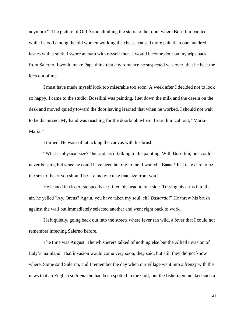anymore?" The picture of Old Armo climbing the stairs to the room where Bosellini painted while I stood among the old women working the cheese caused more pain than one hundred lashes with a stick. I swore an oath with myself then. I would become dour on my trips back from Salerno. I would make Papa think that any romance he suspected was over, that he beat the idea out of me.

I must have made myself look too miserable too soon. A week after I decided not to look so happy, I came to the studio. Bosellini was painting. I set down the milk and the casein on the desk and moved quietly toward the door having learned that when he worked, I should not wait to be dismissed. My hand was reaching for the doorknob when I heard him call out, "Maria-Maria."

I turned. He was still attacking the canvas with his brush.

"What is physical size?" he said, as if talking to the painting. With Bosellini, one could never be sure, but since he could have been talking to me, I waited. "Baaaa! Just take care to be the size of heart you should be. Let no one take that size from you."

He leaned in closer; stepped back; tilted his head to one side. Tossing his arms into the air, he yelled "Ay, Orcus? Again, you have taken my soul, eh? *Bastardo*!" He threw his brush against the wall but immediately selected another and went right back to work.

I left quietly, going back out into the streets where fever ran wild, a fever that I could not remember infecting Salerno before.

The time was August. The whisperers talked of nothing else but the Allied invasion of Italy's mainland. That invasion would come very soon, they said, but still they did not know where. Some said Salerno, and I remember the day when our village went into a frenzy with the news that an English *sottomarino* had been spotted in the Gulf, but the fishermen mocked such a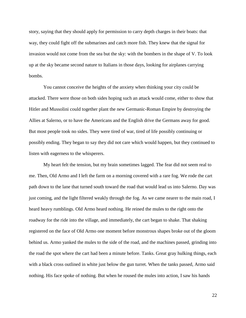story, saying that they should apply for permission to carry depth charges in their boats: that way, they could fight off the submarines and catch more fish. They knew that the signal for invasion would not come from the sea but the sky: with the bombers in the shape of V. To look up at the sky became second nature to Italians in those days, looking for airplanes carrying bombs.

You cannot conceive the heights of the anxiety when thinking your city could be attacked. There were those on both sides hoping such an attack would come, either to show that Hitler and Mussolini could together plant the new Germanic-Roman Empire by destroying the Allies at Salerno, or to have the Americans and the English drive the Germans away for good. But most people took no sides. They were tired of war, tired of life possibly continuing or possibly ending. They began to say they did not care which would happen, but they continued to listen with eagerness to the whisperers.

My heart felt the tension, but my brain sometimes lagged. The fear did not seem real to me. Then, Old Armo and I left the farm on a morning covered with a rare fog. We rode the cart path down to the lane that turned south toward the road that would lead us into Salerno. Day was just coming, and the light filtered weakly through the fog. As we came nearer to the main road, I heard heavy rumblings. Old Armo heard nothing. He reined the mules to the right onto the roadway for the ride into the village, and immediately, the cart began to shake. That shaking registered on the face of Old Armo one moment before monstrous shapes broke out of the gloom behind us. Armo yanked the mules to the side of the road, and the machines passed, grinding into the road the spot where the cart had been a minute before. Tanks. Great gray hulking things, each with a black cross outlined in white just below the gun turret. When the tanks passed, Armo said nothing. His face spoke of nothing. But when he roused the mules into action, I saw his hands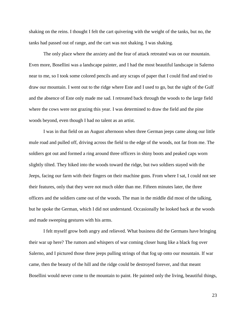shaking on the reins. I thought I felt the cart quivering with the weight of the tanks, but no, the tanks had passed out of range, and the cart was not shaking. I was shaking.

The only place where the anxiety and the fear of attack retreated was on our mountain. Even more, Bosellini was a landscape painter, and I had the most beautiful landscape in Salerno near to me, so I took some colored pencils and any scraps of paper that I could find and tried to draw our mountain. I went out to the ridge where Este and I used to go, but the sight of the Gulf and the absence of Este only made me sad. I retreated back through the woods to the large field where the cows were not grazing this year. I was determined to draw the field and the pine woods beyond, even though I had no talent as an artist.

I was in that field on an August afternoon when three German jeeps came along our little mule road and pulled off, driving across the field to the edge of the woods, not far from me. The soldiers got out and formed a ring around three officers in shiny boots and peaked caps worn slightly tilted. They hiked into the woods toward the ridge, but two soldiers stayed with the Jeeps, facing our farm with their fingers on their machine guns. From where I sat, I could not see their features, only that they were not much older than me. Fifteen minutes later, the three officers and the soldiers came out of the woods. The man in the middle did most of the talking, but he spoke the German, which I did not understand. Occasionally he looked back at the woods and made sweeping gestures with his arms.

I felt myself grow both angry and relieved. What business did the Germans have bringing their war up here? The rumors and whispers of war coming closer hung like a black fog over Salerno, and I pictured those three jeeps pulling strings of that fog up onto our mountain. If war came, then the beauty of the hill and the ridge could be destroyed forever, and that meant Bosellini would never come to the mountain to paint. He painted only the living, beautiful things,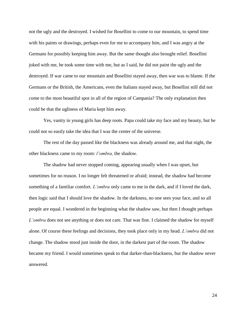not the ugly and the destroyed. I wished for Bosellini to come to our mountain, to spend time with his paints or drawings, perhaps even for me to accompany him, and I was angry at the Germans for possibly keeping him away. But the same thought also brought relief. Bosellini joked with me, he took some time with me, but as I said, he did not paint the ugly and the destroyed. If war came to our mountain and Bosellini stayed away, then war was to blame. If the Germans or the British, the Americans, even the Italians stayed away, but Bosellini still did not come to the most beautiful spot in all of the region of Campania? The only explanation then could be that the ugliness of Maria kept him away.

Yes, vanity in young girls has deep roots. Papa could take my face and my beauty, but he could not so easily take the idea that I was the center of the universe.

The rest of the day passed like the blackness was already around me, and that night, the other blackness came to my room: *l'ombra,* the shadow.

The shadow had never stopped coming, appearing usually when I was upset, but sometimes for no reason. I no longer felt threatened or afraid; instead, the shadow had become something of a familiar comfort. *L'ombra* only came to me in the dark, and if I loved the dark, then logic said that I should love the shadow. In the darkness, no one sees your face, and so all people are equal. I wondered in the beginning what the shadow saw, but then I thought perhaps *L'ombra* does not see anything or does not care. That was fine. I claimed the shadow for myself alone. Of course these feelings and decisions, they took place only in my head. *L'ombra* did not change. The shadow stood just inside the door, in the darkest part of the room. The shadow became my friend. I would sometimes speak to that darker-than-blackness, but the shadow never answered.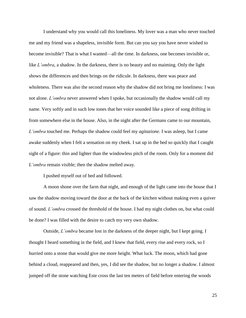I understand why you would call this loneliness. My lover was a man who never touched me and my friend was a shapeless, invisible form. But can you say you have never wished to become invisible? That is what I wanted—all the time. In darkness, one becomes invisible or, like *L'ombra*, a shadow. In the darkness, there is no beauty and no maiming. Only the light shows the differences and then brings on the ridicule. In darkness, there was peace and wholeness. There was also the second reason why the shadow did not bring me loneliness: I was not alone. *L'ombra* never answered when I spoke, but occasionally the shadow would call my name. Very softly and in such low tones that her voice sounded like a piece of song drifting in from somewhere else in the house. Also, in the night after the Germans came to our mountain, *L'ombra* touched me. Perhaps the shadow could feel my *agitazione*. I was asleep, but I came awake suddenly when I felt a sensation on my cheek. I sat up in the bed so quickly that I caught sight of a figure: thin and lighter than the windowless pitch of the room. Only for a moment did *L'ombra* remain visible; then the shadow melted away.

I pushed myself out of bed and followed.

A moon shone over the farm that night, and enough of the light came into the house that I saw the shadow moving toward the door at the back of the kitchen without making even a quiver of sound. *L'ombra* crossed the threshold of the house. I had my night clothes on, but what could be done? I was filled with the desire to catch my very own shadow.

Outside, *L'ombra* became lost in the darkness of the deeper night, but I kept going. I thought I heard something in the field, and I knew that field, every rise and every rock, so I hurried onto a stone that would give me more height. What luck. The moon, which had gone behind a cloud, reappeared and then, yes, I did see the shadow, but no longer a shadow. I almost jumped off the stone watching Este cross the last ten meters of field before entering the woods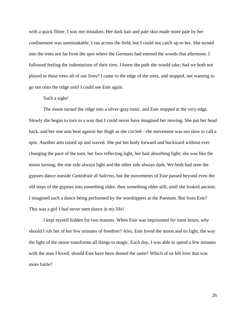with a quick flitter. I was not mistaken. Her dark hair and pale skin made more pale by her confinement was unmistakable. I ran across the field, but I could not catch up to her. She turned into the trees not far from the spot where the Germans had entered the woods that afternoon. I followed feeling the indentations of their tires. I knew the path she would take; had we both not played in these trees all of our lives? I came to the edge of the trees, and stopped, not wanting to go out onto the ridge until I could see Este again.

## Such a sight!

The moon turned the ridge into a silver-gray tunic, and Este stopped at the very edge. Slowly she began to turn in a way that I could never have imagined her moving. She put her head back, and her one arm beat against her thigh as she circled—the movement was too slow to call a spin. Another arm raised up and waved. She put her body forward and backward without ever changing the pace of the turn, her face reflecting light, her hair absorbing light; she was like the moon turning, the one side always light and the other side always dark. We both had seen the gypsies dance outside *Cattedrale di Salerno*, but the movements of Este passed beyond even the old steps of the gypsies into something older, then something older still, until she looked ancient. I imagined such a dance being performed by the worshippers at the Paestum. But from Este? This was a girl I had never seen dance in my life!

I kept myself hidden for two reasons. When Este was imprisoned for most hours, why should I rob her of her few minutes of freedom? Also, Este loved the moon and its light, the way the light of the moon transforms all things to magic. Each day, I was able to spend a few minutes with the man I loved; should Este have been denied the same? Which of us felt love that was more futile?